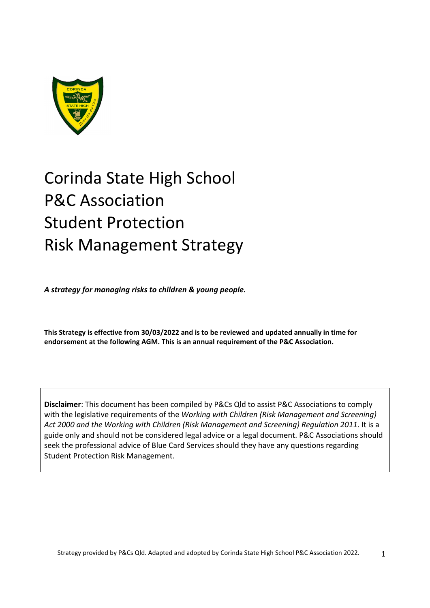

# Corinda State High School P&C Association Student Protection Risk Management Strategy

*A strategy for managing risks to children & young people.*

**This Strategy is effective from 30/03/2022 and is to be reviewed and updated annually in time for endorsement at the following AGM. This is an annual requirement of the P&C Association.** 

**Disclaimer**: This document has been compiled by P&Cs Qld to assist P&C Associations to comply with the legislative requirements of the *Working with Children (Risk Management and Screening) Act 2000 and the Working with Children (Risk Management and Screening) Regulation 2011*. It is a guide only and should not be considered legal advice or a legal document. P&C Associations should seek the professional advice of Blue Card Services should they have any questions regarding Student Protection Risk Management.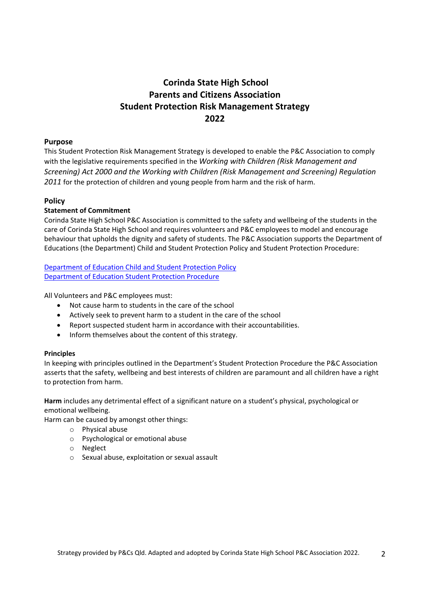### **Corinda State High School Parents and Citizens Association Student Protection Risk Management Strategy 2022**

#### **Purpose**

This Student Protection Risk Management Strategy is developed to enable the P&C Association to comply with the legislative requirements specified in the *Working with Children (Risk Management and Screening) Act 2000 and the Working with Children (Risk Management and Screening) Regulation 2011* for the protection of children and young people from harm and the risk of harm.

#### **Policy**

#### **Statement of Commitment**

Corinda State High School P&C Association is committed to the safety and wellbeing of the students in the care of Corinda State High School and requires volunteers and P&C employees to model and encourage behaviour that upholds the dignity and safety of students. The P&C Association supports the Department of Educations (the Department) Child and Student Protection Policy and Student Protection Procedure:

Department of Education Child and Student Protection Policy Department of Education Student Protection Procedure

All Volunteers and P&C employees must:

- Not cause harm to students in the care of the school
- Actively seek to prevent harm to a student in the care of the school
- Report suspected student harm in accordance with their accountabilities.
- Inform themselves about the content of this strategy.

#### **Principles**

In keeping with principles outlined in the Department's Student Protection Procedure the P&C Association asserts that the safety, wellbeing and best interests of children are paramount and all children have a right to protection from harm.

**Harm** includes any detrimental effect of a significant nature on a student's physical, psychological or emotional wellbeing.

Harm can be caused by amongst other things:

- o Physical abuse
- o Psychological or emotional abuse
- o Neglect
- o Sexual abuse, exploitation or sexual assault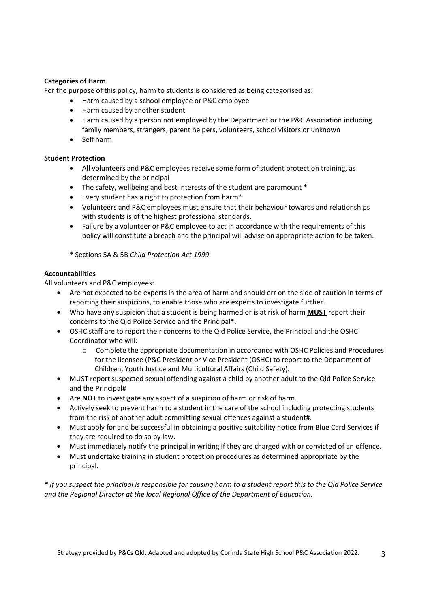#### **Categories of Harm**

For the purpose of this policy, harm to students is considered as being categorised as:

- Harm caused by a school employee or P&C employee
- Harm caused by another student
- Harm caused by a person not employed by the Department or the P&C Association including family members, strangers, parent helpers, volunteers, school visitors or unknown
- Self harm

#### **Student Protection**

- All volunteers and P&C employees receive some form of student protection training, as determined by the principal
- The safety, wellbeing and best interests of the student are paramount  $*$
- Every student has a right to protection from harm\*
- Volunteers and P&C employees must ensure that their behaviour towards and relationships with students is of the highest professional standards.
- Failure by a volunteer or P&C employee to act in accordance with the requirements of this policy will constitute a breach and the principal will advise on appropriate action to be taken.

\* Sections 5A & 5B *Child Protection Act 1999*

#### **Accountabilities**

All volunteers and P&C employees:

- Are not expected to be experts in the area of harm and should err on the side of caution in terms of reporting their suspicions, to enable those who are experts to investigate further.
- Who have any suspicion that a student is being harmed or is at risk of harm **MUST** report their concerns to the Qld Police Service and the Principal\*.
- OSHC staff are to report their concerns to the Qld Police Service, the Principal and the OSHC Coordinator who will:
	- o Complete the appropriate documentation in accordance with OSHC Policies and Procedures for the licensee (P&C President or Vice President (OSHC) to report to the Department of Children, Youth Justice and Multicultural Affairs (Child Safety).
- MUST report suspected sexual offending against a child by another adult to the Qld Police Service and the Principal#
- Are **NOT** to investigate any aspect of a suspicion of harm or risk of harm.
- Actively seek to prevent harm to a student in the care of the school including protecting students from the risk of another adult committing sexual offences against a student#.
- Must apply for and be successful in obtaining a positive suitability notice from Blue Card Services if they are required to do so by law.
- Must immediately notify the principal in writing if they are charged with or convicted of an offence.
- Must undertake training in student protection procedures as determined appropriate by the principal.

\* If you suspect the principal is responsible for causing harm to a student report this to the Qld Police Service *and the Regional Director at the local Regional Office of the Department of Education.*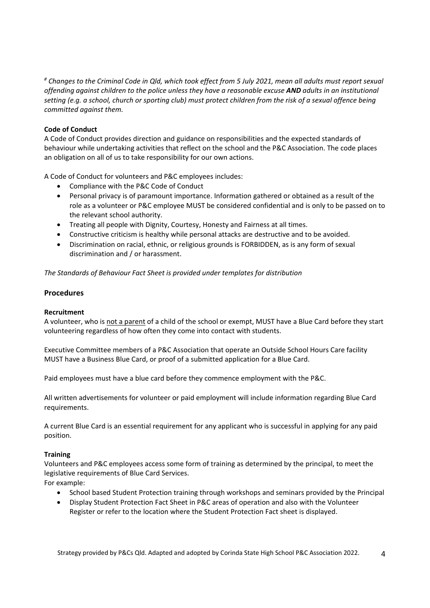# Changes to the Criminal Code in Qld, which took effect from 5 July 2021, mean all adults must report sexual offending against children to the police unless they have a reasonable excuse AND adults in an institutional setting (e.g. a school, church or sporting club) must protect children from the risk of a sexual offence being *committed against them.*

#### **Code of Conduct**

A Code of Conduct provides direction and guidance on responsibilities and the expected standards of behaviour while undertaking activities that reflect on the school and the P&C Association. The code places an obligation on all of us to take responsibility for our own actions.

A Code of Conduct for volunteers and P&C employees includes:

- Compliance with the P&C Code of Conduct
- Personal privacy is of paramount importance. Information gathered or obtained as a result of the role as a volunteer or P&C employee MUST be considered confidential and is only to be passed on to the relevant school authority.
- Treating all people with Dignity, Courtesy, Honesty and Fairness at all times.
- Constructive criticism is healthy while personal attacks are destructive and to be avoided.
- Discrimination on racial, ethnic, or religious grounds is FORBIDDEN, as is any form of sexual discrimination and / or harassment.

*The Standards of Behaviour Fact Sheet is provided under templates for distribution* 

#### **Procedures**

#### **Recruitment**

A volunteer, who is not a parent of a child of the school or exempt, MUST have a Blue Card before they start volunteering regardless of how often they come into contact with students.

Executive Committee members of a P&C Association that operate an Outside School Hours Care facility MUST have a Business Blue Card, or proof of a submitted application for a Blue Card.

Paid employees must have a blue card before they commence employment with the P&C.

All written advertisements for volunteer or paid employment will include information regarding Blue Card requirements.

A current Blue Card is an essential requirement for any applicant who is successful in applying for any paid position.

#### **Training**

Volunteers and P&C employees access some form of training as determined by the principal, to meet the legislative requirements of Blue Card Services.

For example:

- School based Student Protection training through workshops and seminars provided by the Principal
- Display Student Protection Fact Sheet in P&C areas of operation and also with the Volunteer Register or refer to the location where the Student Protection Fact sheet is displayed.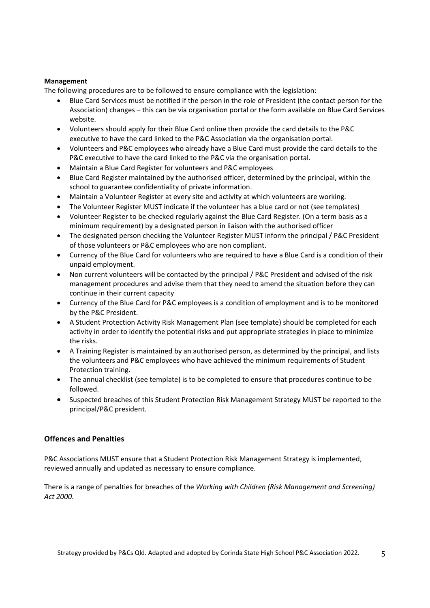#### **Management**

The following procedures are to be followed to ensure compliance with the legislation:

- Blue Card Services must be notified if the person in the role of President (the contact person for the Association) changes – this can be via organisation portal or the form available on Blue Card Services website.
- Volunteers should apply for their Blue Card online then provide the card details to the P&C executive to have the card linked to the P&C Association via the organisation portal.
- Volunteers and P&C employees who already have a Blue Card must provide the card details to the P&C executive to have the card linked to the P&C via the organisation portal.
- Maintain a Blue Card Register for volunteers and P&C employees
- Blue Card Register maintained by the authorised officer, determined by the principal, within the school to guarantee confidentiality of private information.
- Maintain a Volunteer Register at every site and activity at which volunteers are working.
- The Volunteer Register MUST indicate if the volunteer has a blue card or not (see templates)
- Volunteer Register to be checked regularly against the Blue Card Register. (On a term basis as a minimum requirement) by a designated person in liaison with the authorised officer
- The designated person checking the Volunteer Register MUST inform the principal / P&C President of those volunteers or P&C employees who are non compliant.
- Currency of the Blue Card for volunteers who are required to have a Blue Card is a condition of their unpaid employment.
- Non current volunteers will be contacted by the principal / P&C President and advised of the risk management procedures and advise them that they need to amend the situation before they can continue in their current capacity
- Currency of the Blue Card for P&C employees is a condition of employment and is to be monitored by the P&C President.
- A Student Protection Activity Risk Management Plan (see template) should be completed for each activity in order to identify the potential risks and put appropriate strategies in place to minimize the risks.
- A Training Register is maintained by an authorised person, as determined by the principal, and lists the volunteers and P&C employees who have achieved the minimum requirements of Student Protection training.
- The annual checklist (see template) is to be completed to ensure that procedures continue to be followed.
- Suspected breaches of this Student Protection Risk Management Strategy MUST be reported to the principal/P&C president.

#### **Offences and Penalties**

P&C Associations MUST ensure that a Student Protection Risk Management Strategy is implemented, reviewed annually and updated as necessary to ensure compliance.

There is a range of penalties for breaches of the *Working with Children (Risk Management and Screening) Act 2000*.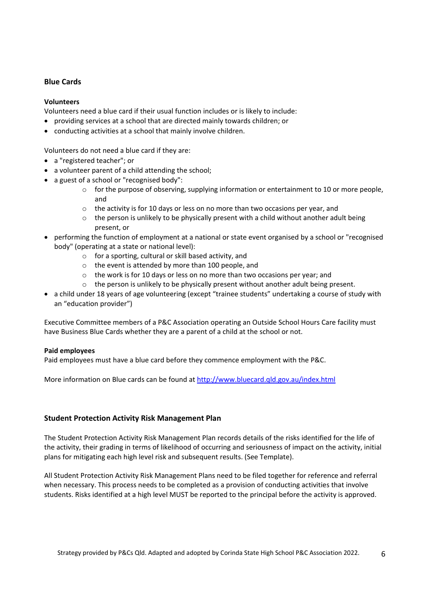#### **Blue Cards**

#### **Volunteers**

Volunteers need a blue card if their usual function includes or is likely to include:

- providing services at a school that are directed mainly towards children; or
- conducting activities at a school that mainly involve children.

Volunteers do not need a blue card if they are:

- a "registered teacher"; or
- a volunteer parent of a child attending the school;
- a guest of a school or "recognised body":
	- $\circ$  for the purpose of observing, supplying information or entertainment to 10 or more people, and
	- $\circ$  the activity is for 10 days or less on no more than two occasions per year, and
	- $\circ$  the person is unlikely to be physically present with a child without another adult being present, or
- performing the function of employment at a national or state event organised by a school or "recognised body" (operating at a state or national level):
	- o for a sporting, cultural or skill based activity, and
	- o the event is attended by more than 100 people, and
	- o the work is for 10 days or less on no more than two occasions per year; and
	- $\circ$  the person is unlikely to be physically present without another adult being present.
- a child under 18 years of age volunteering (except "trainee students" undertaking a course of study with an "education provider")

Executive Committee members of a P&C Association operating an Outside School Hours Care facility must have Business Blue Cards whether they are a parent of a child at the school or not.

#### **Paid employees**

Paid employees must have a blue card before they commence employment with the P&C.

More information on Blue cards can be found at http://www.bluecard.qld.gov.au/index.html

#### **Student Protection Activity Risk Management Plan**

The Student Protection Activity Risk Management Plan records details of the risks identified for the life of the activity, their grading in terms of likelihood of occurring and seriousness of impact on the activity, initial plans for mitigating each high level risk and subsequent results. (See Template).

All Student Protection Activity Risk Management Plans need to be filed together for reference and referral when necessary. This process needs to be completed as a provision of conducting activities that involve students. Risks identified at a high level MUST be reported to the principal before the activity is approved.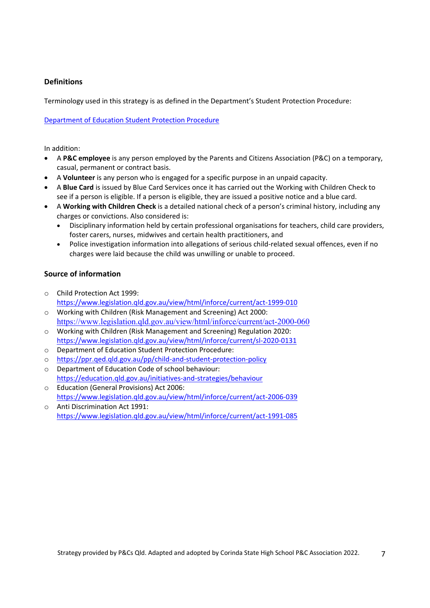#### **Definitions**

Terminology used in this strategy is as defined in the Department's Student Protection Procedure:

Department of Education Student Protection Procedure

In addition:

- A **P&C employee** is any person employed by the Parents and Citizens Association (P&C) on a temporary, casual, permanent or contract basis.
- A **Volunteer** is any person who is engaged for a specific purpose in an unpaid capacity.
- A **Blue Card** is issued by Blue Card Services once it has carried out the Working with Children Check to see if a person is eligible. If a person is eligible, they are issued a positive notice and a blue card.
- A **Working with Children Check** is a detailed national check of a person's criminal history, including any charges or convictions. Also considered is:
	- Disciplinary information held by certain professional organisations for teachers, child care providers, foster carers, nurses, midwives and certain health practitioners, and
	- Police investigation information into allegations of serious child-related sexual offences, even if no charges were laid because the child was unwilling or unable to proceed.

#### **Source of information**

- o Child Protection Act 1999: https://www.legislation.qld.gov.au/view/html/inforce/current/act‐1999‐010
- o Working with Children (Risk Management and Screening) Act 2000: https://www.legislation.qld.gov.au/view/html/inforce/current/act-2000-060
- o Working with Children (Risk Management and Screening) Regulation 2020: https://www.legislation.qld.gov.au/view/html/inforce/current/sl‐2020‐0131
- o Department of Education Student Protection Procedure:
- o https://ppr.qed.qld.gov.au/pp/child‐and‐student‐protection‐policy
- o Department of Education Code of school behaviour: https://education.qld.gov.au/initiatives‐and‐strategies/behaviour
- o Education (General Provisions) Act 2006: https://www.legislation.qld.gov.au/view/html/inforce/current/act‐2006‐039
- o Anti Discrimination Act 1991: https://www.legislation.qld.gov.au/view/html/inforce/current/act‐1991‐085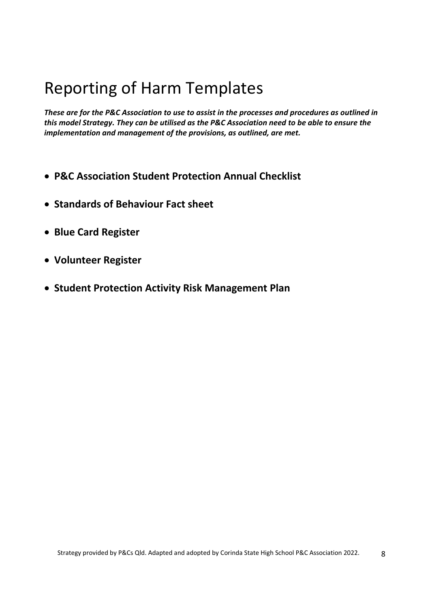## Reporting of Harm Templates

*These are for the P&C Association to use to assist in the processes and procedures as outlined in this model Strategy. They can be utilised as the P&C Association need to be able to ensure the implementation and management of the provisions, as outlined, are met.*

- **P&C Association Student Protection Annual Checklist**
- **Standards of Behaviour Fact sheet**
- **Blue Card Register**
- **Volunteer Register**
- **Student Protection Activity Risk Management Plan**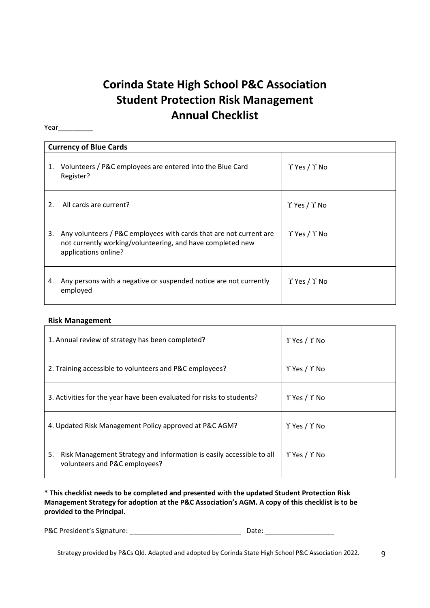## **Corinda State High School P&C Association Student Protection Risk Management Annual Checklist**

Year\_\_\_\_\_\_\_\_\_\_\_

|    | <b>Currency of Blue Cards</b>                                                                                                                            |                                |  |  |  |  |  |  |  |
|----|----------------------------------------------------------------------------------------------------------------------------------------------------------|--------------------------------|--|--|--|--|--|--|--|
| 1. | Volunteers / P&C employees are entered into the Blue Card<br>Register?                                                                                   | $\Upsilon$ Yes / $\Upsilon$ No |  |  |  |  |  |  |  |
| 2. | All cards are current?                                                                                                                                   | $\Upsilon$ Yes / $\Upsilon$ No |  |  |  |  |  |  |  |
| 3. | Any volunteers / P&C employees with cards that are not current are<br>not currently working/volunteering, and have completed new<br>applications online? | $\Upsilon$ Yes / $\Upsilon$ No |  |  |  |  |  |  |  |
| 4. | Any persons with a negative or suspended notice are not currently<br>employed                                                                            | $\Upsilon$ Yes / $\Upsilon$ No |  |  |  |  |  |  |  |

#### **Risk Management**

| 1. Annual review of strategy has been completed?                                                            | $\Upsilon$ Yes / $\Upsilon$ No |
|-------------------------------------------------------------------------------------------------------------|--------------------------------|
| 2. Training accessible to volunteers and P&C employees?                                                     | $\Upsilon$ Yes / $\Upsilon$ No |
| 3. Activities for the year have been evaluated for risks to students?                                       | $\Upsilon$ Yes / $\Upsilon$ No |
| 4. Updated Risk Management Policy approved at P&C AGM?                                                      | $\Upsilon$ Yes / $\Upsilon$ No |
| Risk Management Strategy and information is easily accessible to all<br>5.<br>volunteers and P&C employees? | $\Upsilon$ Yes / $\Upsilon$ No |

**\* This checklist needs to be completed and presented with the updated Student Protection Risk Management Strategy for adoption at the P&C Association's AGM. A copy of this checklist is to be provided to the Principal.**

P&C President's Signature: \_\_\_\_\_\_\_\_\_\_\_\_\_\_\_\_\_\_\_\_\_\_\_\_\_\_\_\_\_ Date: \_\_\_\_\_\_\_\_\_\_\_\_\_\_\_\_\_\_

Strategy provided by P&Cs Qld. Adapted and adopted by Corinda State High School P&C Association 2022. 9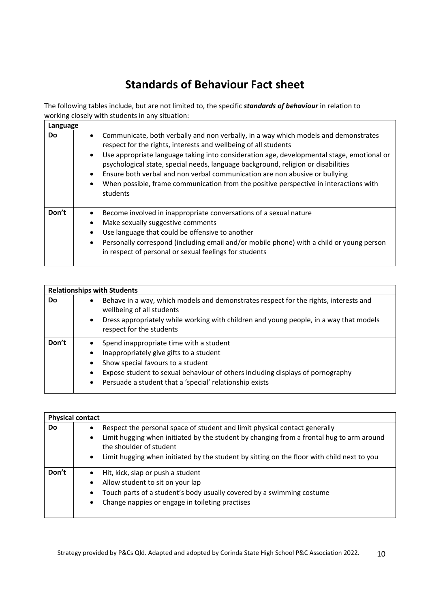## **Standards of Behaviour Fact sheet**

The following tables include, but are not limited to, the specific *standards of behaviour* in relation to working closely with students in any situation:

| Language |                                                                                                                                                                                                                                                                                                                                                                                                                                                                                                                                                        |
|----------|--------------------------------------------------------------------------------------------------------------------------------------------------------------------------------------------------------------------------------------------------------------------------------------------------------------------------------------------------------------------------------------------------------------------------------------------------------------------------------------------------------------------------------------------------------|
| Do.      | Communicate, both verbally and non verbally, in a way which models and demonstrates<br>$\bullet$<br>respect for the rights, interests and wellbeing of all students<br>Use appropriate language taking into consideration age, developmental stage, emotional or<br>$\bullet$<br>psychological state, special needs, language background, religion or disabilities<br>Ensure both verbal and non verbal communication are non abusive or bullying<br>When possible, frame communication from the positive perspective in interactions with<br>students |
| Don't    | Become involved in inappropriate conversations of a sexual nature<br>Make sexually suggestive comments<br>$\bullet$<br>Use language that could be offensive to another<br>Personally correspond (including email and/or mobile phone) with a child or young person<br>$\bullet$<br>in respect of personal or sexual feelings for students                                                                                                                                                                                                              |

| <b>Relationships with Students</b> |                                                                                                                   |                                                                                                                    |  |  |  |  |  |  |  |
|------------------------------------|-------------------------------------------------------------------------------------------------------------------|--------------------------------------------------------------------------------------------------------------------|--|--|--|--|--|--|--|
| Do                                 | Behave in a way, which models and demonstrates respect for the rights, interests and<br>wellbeing of all students |                                                                                                                    |  |  |  |  |  |  |  |
|                                    | $\bullet$                                                                                                         | Dress appropriately while working with children and young people, in a way that models<br>respect for the students |  |  |  |  |  |  |  |
| Don't                              |                                                                                                                   | Spend inappropriate time with a student                                                                            |  |  |  |  |  |  |  |
|                                    | $\bullet$                                                                                                         | Inappropriately give gifts to a student                                                                            |  |  |  |  |  |  |  |
|                                    | $\bullet$                                                                                                         | Show special favours to a student                                                                                  |  |  |  |  |  |  |  |
|                                    | $\bullet$                                                                                                         | Expose student to sexual behaviour of others including displays of pornography                                     |  |  |  |  |  |  |  |
|                                    | $\bullet$                                                                                                         | Persuade a student that a 'special' relationship exists                                                            |  |  |  |  |  |  |  |

| <b>Physical contact</b> |                                                                            |                                                                                                                     |
|-------------------------|----------------------------------------------------------------------------|---------------------------------------------------------------------------------------------------------------------|
| Do                      | Respect the personal space of student and limit physical contact generally |                                                                                                                     |
|                         | $\bullet$                                                                  | Limit hugging when initiated by the student by changing from a frontal hug to arm around<br>the shoulder of student |
|                         | $\bullet$                                                                  | Limit hugging when initiated by the student by sitting on the floor with child next to you                          |
| Don't                   | $\bullet$                                                                  | Hit, kick, slap or push a student                                                                                   |
|                         | $\bullet$                                                                  | Allow student to sit on your lap                                                                                    |
|                         | $\bullet$                                                                  | Touch parts of a student's body usually covered by a swimming costume                                               |
|                         | $\bullet$                                                                  | Change nappies or engage in toileting practises                                                                     |
|                         |                                                                            |                                                                                                                     |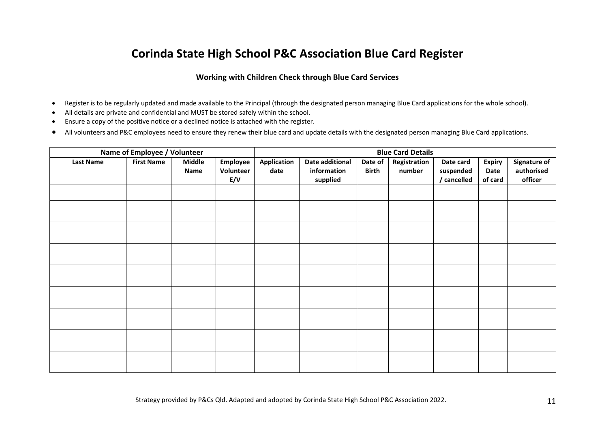### **Corinda State High School P&C Association Blue Card Register**

#### **Working with Children Check through Blue Card Services**

- $\bullet$ Register is to be regularly updated and made available to the Principal (through the designated person managing Blue Card applications for the whole school).
- $\bullet$ All details are private and confidential and MUST be stored safely within the school.
- $\bullet$ Ensure <sup>a</sup> copy of the positive notice or <sup>a</sup> declined notice is attached with the register.
- $\bullet$ All volunteers and P&C employees need to ensure they renew their blue card and update details with the designated person managing Blue Card applications.

| Name of Employee / Volunteer | <b>Blue Card Details</b> |                       |                              |                            |                                            |                         |                        |                                       |                                  |                                              |
|------------------------------|--------------------------|-----------------------|------------------------------|----------------------------|--------------------------------------------|-------------------------|------------------------|---------------------------------------|----------------------------------|----------------------------------------------|
| <b>Last Name</b>             | <b>First Name</b>        | <b>Middle</b><br>Name | Employee<br>Volunteer<br>E/V | <b>Application</b><br>date | Date additional<br>information<br>supplied | Date of<br><b>Birth</b> | Registration<br>number | Date card<br>suspended<br>/ cancelled | <b>Expiry</b><br>Date<br>of card | <b>Signature of</b><br>authorised<br>officer |
|                              |                          |                       |                              |                            |                                            |                         |                        |                                       |                                  |                                              |
|                              |                          |                       |                              |                            |                                            |                         |                        |                                       |                                  |                                              |
|                              |                          |                       |                              |                            |                                            |                         |                        |                                       |                                  |                                              |
|                              |                          |                       |                              |                            |                                            |                         |                        |                                       |                                  |                                              |
|                              |                          |                       |                              |                            |                                            |                         |                        |                                       |                                  |                                              |
|                              |                          |                       |                              |                            |                                            |                         |                        |                                       |                                  |                                              |
|                              |                          |                       |                              |                            |                                            |                         |                        |                                       |                                  |                                              |
|                              |                          |                       |                              |                            |                                            |                         |                        |                                       |                                  |                                              |
|                              |                          |                       |                              |                            |                                            |                         |                        |                                       |                                  |                                              |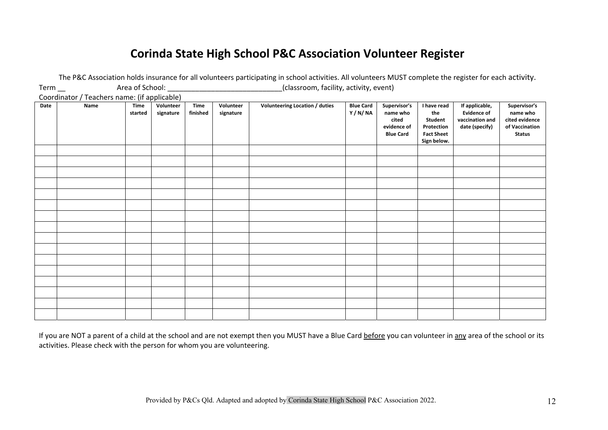### **Corinda State High School P&C Association Volunteer Register**

|                                              |      |                        |                        |                         |                        | The rise Association noius insurance for an volunteers participating in school activities. An volunteers iviour complete the register for each activity. |                            |                                                                      |                                                                                 |                                                                           |                                                                               |
|----------------------------------------------|------|------------------------|------------------------|-------------------------|------------------------|----------------------------------------------------------------------------------------------------------------------------------------------------------|----------------------------|----------------------------------------------------------------------|---------------------------------------------------------------------------------|---------------------------------------------------------------------------|-------------------------------------------------------------------------------|
| $Term$ <sub>—</sub>                          |      | Area of School:        |                        |                         |                        | (classroom, facility, activity, event)                                                                                                                   |                            |                                                                      |                                                                                 |                                                                           |                                                                               |
| Coordinator / Teachers name: (if applicable) |      |                        |                        |                         |                        |                                                                                                                                                          |                            |                                                                      |                                                                                 |                                                                           |                                                                               |
| Date                                         | Name | <b>Time</b><br>started | Volunteer<br>signature | <b>Time</b><br>finished | Volunteer<br>signature | Volunteering Location / duties                                                                                                                           | <b>Blue Card</b><br>Y/N/NA | Supervisor's<br>name who<br>cited<br>evidence of<br><b>Blue Card</b> | I have read<br>the<br>Student<br>Protection<br><b>Fact Sheet</b><br>Sign below. | If applicable,<br><b>Evidence of</b><br>vaccination and<br>date (specify) | Supervisor's<br>name who<br>cited evidence<br>of Vaccination<br><b>Status</b> |
|                                              |      |                        |                        |                         |                        |                                                                                                                                                          |                            |                                                                      |                                                                                 |                                                                           |                                                                               |
|                                              |      |                        |                        |                         |                        |                                                                                                                                                          |                            |                                                                      |                                                                                 |                                                                           |                                                                               |
|                                              |      |                        |                        |                         |                        |                                                                                                                                                          |                            |                                                                      |                                                                                 |                                                                           |                                                                               |
|                                              |      |                        |                        |                         |                        |                                                                                                                                                          |                            |                                                                      |                                                                                 |                                                                           |                                                                               |
|                                              |      |                        |                        |                         |                        |                                                                                                                                                          |                            |                                                                      |                                                                                 |                                                                           |                                                                               |
|                                              |      |                        |                        |                         |                        |                                                                                                                                                          |                            |                                                                      |                                                                                 |                                                                           |                                                                               |
|                                              |      |                        |                        |                         |                        |                                                                                                                                                          |                            |                                                                      |                                                                                 |                                                                           |                                                                               |
|                                              |      |                        |                        |                         |                        |                                                                                                                                                          |                            |                                                                      |                                                                                 |                                                                           |                                                                               |
|                                              |      |                        |                        |                         |                        |                                                                                                                                                          |                            |                                                                      |                                                                                 |                                                                           |                                                                               |
|                                              |      |                        |                        |                         |                        |                                                                                                                                                          |                            |                                                                      |                                                                                 |                                                                           |                                                                               |
|                                              |      |                        |                        |                         |                        |                                                                                                                                                          |                            |                                                                      |                                                                                 |                                                                           |                                                                               |
|                                              |      |                        |                        |                         |                        |                                                                                                                                                          |                            |                                                                      |                                                                                 |                                                                           |                                                                               |
|                                              |      |                        |                        |                         |                        |                                                                                                                                                          |                            |                                                                      |                                                                                 |                                                                           |                                                                               |
|                                              |      |                        |                        |                         |                        |                                                                                                                                                          |                            |                                                                      |                                                                                 |                                                                           |                                                                               |
|                                              |      |                        |                        |                         |                        |                                                                                                                                                          |                            |                                                                      |                                                                                 |                                                                           |                                                                               |
|                                              |      |                        |                        |                         |                        |                                                                                                                                                          |                            |                                                                      |                                                                                 |                                                                           |                                                                               |

The P&C Association holds insurance for all volunteers participating in school activities. All volunteers MUST complete the register for each activity.

If you are NOT a parent of a child at the school and are not exempt then you MUST have a Blue Card before you can volunteer in any area of the school or its activities. Please check with the person for whom you are volunteering.